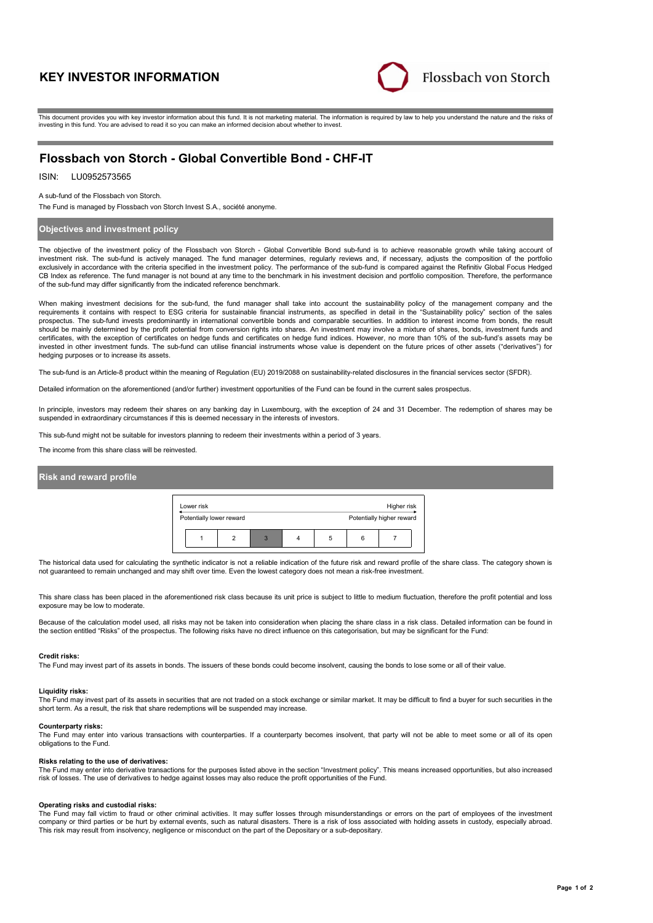# **KEY INVESTOR INFORMATION**



This document provides you with key investor information about this fund. It is not marketing material. The information is required by law to help you understand the nature and the risks of investing in this fund. You are advised to read it so you can make an informed decision about whether to invest.

# **Flossbach von Storch - Global Convertible Bond - CHF-IT**

## ISIN: LU0952573565

A sub-fund of the Flossbach von Storch.

The Fund is managed by Flossbach von Storch Invest S.A., société anonyme.

### **Objectives and investment policy**

The objective of the investment policy of the Flossbach von Storch - Global Convertible Bond sub-fund is to achieve reasonable growth while taking account of investment risk. The sub-fund is actively managed. The fund manager determines, regularly reviews and, if necessary, adjusts the composition of the portfolio exclusively in accordance with the criteria specified in the investment policy. The performance of the sub-fund is compared against the Refinitiv Global Focus Hedged CB Index as reference. The fund manager is not bound at any time to the benchmark in his investment decision and portfolio composition. Therefore, the performance of the sub-fund may differ significantly from the indicated reference benchmark.

When making investment decisions for the sub-fund, the fund manager shall take into account the sustainability policy of the management company and the<br>requirements it contains with respect to ESG criteria for sustainable prospectus. The sub-fund invests predominantly in international convertible bonds and comparable securities. In addition to interest income from bonds, the result should be mainly determined by the profit potential from conversion rights into shares. An investment may involve a mixture of shares, bonds, investment funds and certificates, with the exception of certificates on hedge funds and certificates on hedge fund indices. However, no more than 10% of the sub-fund's assets may be invested in other investment funds. The sub-fund can utilise financial instruments whose value is dependent on the future prices of other assets ("derivatives") for hedging purposes or to increase its assets.

The sub-fund is an Article-8 product within the meaning of Regulation (EU) 2019/2088 on sustainability-related disclosures in the financial services sector (SFDR).

Detailed information on the aforementioned (and/or further) investment opportunities of the Fund can be found in the current sales prospectus.

In principle, investors may redeem their shares on any banking day in Luxembourg, with the exception of 24 and 31 December. The redemption of shares may be suspended in extraordinary circumstances if this is deemed necessary in the interests of investors.

This sub-fund might not be suitable for investors planning to redeem their investments within a period of 3 years.

The income from this share class will be reinvested.

### **Risk and reward profile**

| Lower risk<br>Higher risk |  |   |                           |   |   |  |  |  |
|---------------------------|--|---|---------------------------|---|---|--|--|--|
| Potentially lower reward  |  |   | Potentially higher reward |   |   |  |  |  |
|                           |  | 3 |                           | 5 | 6 |  |  |  |

The historical data used for calculating the synthetic indicator is not a reliable indication of the future risk and reward profile of the share class. The category shown is not guaranteed to remain unchanged and may shift over time. Even the lowest category does not mean a risk-free investment.

This share class has been placed in the aforementioned risk class because its unit price is subject to little to medium fluctuation, therefore the profit potential and loss exposure may be low to moderate.

Because of the calculation model used, all risks may not be taken into consideration when placing the share class in a risk class. Detailed information can be found in the section entitled "Risks" of the prospectus. The following risks have no direct influence on this categorisation, but may be significant for the Fund:

#### **Credit risks:**

The Fund may invest part of its assets in bonds. The issuers of these bonds could become insolvent, causing the bonds to lose some or all of their value.

### **Liquidity risks:**

The Fund may invest part of its assets in securities that are not traded on a stock exchange or similar market. It may be difficult to find a buyer for such securities in the short term. As a result, the risk that share redemptions will be suspended may increase.

### **Counterparty risks:**

The Fund may enter into various transactions with counterparties. If a counterparty becomes insolvent, that party will not be able to meet some or all of its open obligations to the Fund.

#### **Risks relating to the use of derivatives:**

The Fund may enter into derivative transactions for the purposes listed above in the section "Investment policy". This means increased opportunities, but also increased risk of losses. The use of derivatives to hedge against losses may also reduce the profit opportunities of the Fund.

#### **Operating risks and custodial risks:**

The Fund may fall victim to fraud or other criminal activities. It may suffer losses through misunderstandings or errors on the part of employees of the investment company or third parties or be hurt by external events, such as natural disasters. There is a risk of loss associated with holding assets in custody, especially abroad. This risk may result from insolvency, negligence or misconduct on the part of the Depositary or a sub-depositary.